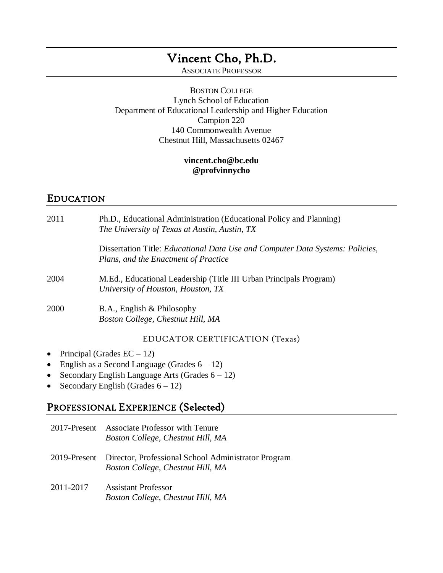# Vincent Cho, Ph.D.

ASSOCIATE PROFESSOR

BOSTON COLLEGE Lynch School of Education Department of Educational Leadership and Higher Education Campion 220 140 Commonwealth Avenue Chestnut Hill, Massachusetts 02467

### **vincent.cho@bc.edu @profvinnycho**

# EDUCATION

| 2011 | Ph.D., Educational Administration (Educational Policy and Planning)<br>The University of Texas at Austin, Austin, TX          |
|------|-------------------------------------------------------------------------------------------------------------------------------|
|      | Dissertation Title: <i>Educational Data Use and Computer Data Systems: Policies</i> ,<br>Plans, and the Enactment of Practice |
| 2004 | M.Ed., Educational Leadership (Title III Urban Principals Program)<br>University of Houston, Houston, TX                      |
| 2000 | B.A., English & Philosophy<br>Boston College, Chestnut Hill, MA                                                               |

EDUCATOR CERTIFICATION (Texas)

- Principal (Grades  $EC 12$ )
- English as a Second Language (Grades  $6 12$ )
- Secondary English Language Arts (Grades  $6 12$ )
- Secondary English (Grades  $6 12$ )

# PROFESSIONAL EXPERIENCE (Selected)

| 2017-Present | <b>Associate Professor with Tenure</b><br>Boston College, Chestnut Hill, MA              |
|--------------|------------------------------------------------------------------------------------------|
| 2019-Present | Director, Professional School Administrator Program<br>Boston College, Chestnut Hill, MA |
| 2011-2017    | <b>Assistant Professor</b><br>Boston College, Chestnut Hill, MA                          |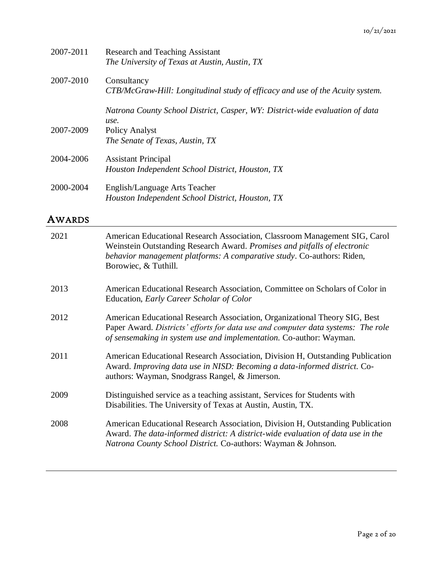| 2007-2011 | <b>Research and Teaching Assistant</b><br>The University of Texas at Austin, Austin, TX      |
|-----------|----------------------------------------------------------------------------------------------|
| 2007-2010 | Consultancy<br>CTB/McGraw-Hill: Longitudinal study of efficacy and use of the Acuity system. |
|           | Natrona County School District, Casper, WY: District-wide evaluation of data<br>use.         |
| 2007-2009 | <b>Policy Analyst</b><br>The Senate of Texas, Austin, TX                                     |
| 2004-2006 | <b>Assistant Principal</b><br>Houston Independent School District, Houston, TX               |
| 2000-2004 | English/Language Arts Teacher<br>Houston Independent School District, Houston, TX            |

# AWARDS

| 2021 | American Educational Research Association, Classroom Management SIG, Carol<br>Weinstein Outstanding Research Award. Promises and pitfalls of electronic<br>behavior management platforms: A comparative study. Co-authors: Riden,<br>Borowiec, & Tuthill. |
|------|-----------------------------------------------------------------------------------------------------------------------------------------------------------------------------------------------------------------------------------------------------------|
| 2013 | American Educational Research Association, Committee on Scholars of Color in<br>Education, Early Career Scholar of Color                                                                                                                                  |
| 2012 | American Educational Research Association, Organizational Theory SIG, Best<br>Paper Award. Districts' efforts for data use and computer data systems: The role<br>of sensemaking in system use and implementation. Co-author: Wayman.                     |
| 2011 | American Educational Research Association, Division H, Outstanding Publication<br>Award. Improving data use in NISD: Becoming a data-informed district. Co-<br>authors: Wayman, Snodgrass Rangel, & Jimerson.                                             |
| 2009 | Distinguished service as a teaching assistant, Services for Students with<br>Disabilities. The University of Texas at Austin, Austin, TX.                                                                                                                 |
| 2008 | American Educational Research Association, Division H, Outstanding Publication<br>Award. The data-informed district: A district-wide evaluation of data use in the<br>Natrona County School District. Co-authors: Wayman & Johnson.                       |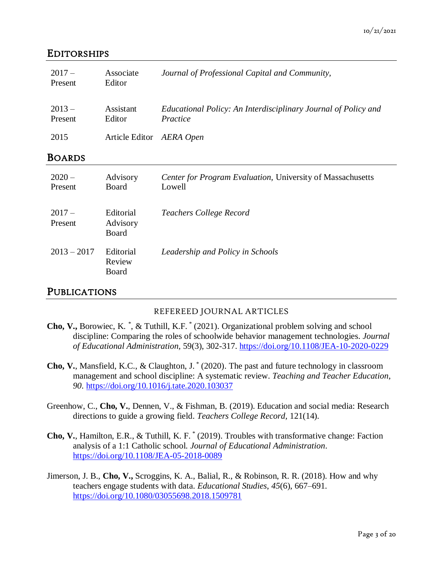# EDITORSHIPS

| $2017 -$<br>Present | Associate<br>Editor                   | Journal of Professional Capital and Community,                              |
|---------------------|---------------------------------------|-----------------------------------------------------------------------------|
| $2013 -$<br>Present | Assistant<br>Editor                   | Educational Policy: An Interdisciplinary Journal of Policy and<br>Practice  |
| 2015                | Article Editor AERA Open              |                                                                             |
| Boards              |                                       |                                                                             |
| $2020 -$<br>Present | Advisory<br>Board                     | <b>Center for Program Evaluation, University of Massachusetts</b><br>Lowell |
| $2017-$<br>Present  | Editorial<br>Advisory<br><b>Board</b> | Teachers College Record                                                     |
| $2013 - 2017$       | Editorial<br>Review<br><b>Board</b>   | Leadership and Policy in Schools                                            |

# PUBLICATIONS

# REFEREED JOURNAL ARTICLES

- Cho, V., Borowiec, K.<sup>\*</sup>, & Tuthill, K.F.<sup>\*</sup> (2021). Organizational problem solving and school discipline: Comparing the roles of schoolwide behavior management technologies. *Journal of Educational Administration,* 59(3), 302-317.<https://doi.org/10.1108/JEA-10-2020-0229>
- **Cho, V.**, Mansfield, K.C., & Claughton, J. \* (2020). The past and future technology in classroom management and school discipline: A systematic review. *Teaching and Teacher Education*, *90*.<https://doi.org/10.1016/j.tate.2020.103037>
- Greenhow, C., **Cho, V.**, Dennen, V., & Fishman, B. (2019). Education and social media: Research directions to guide a growing field. *Teachers College Record,* 121(14)*.*
- **Cho, V.**, Hamilton, E.R., & Tuthill, K. F. \* (2019). Troubles with transformative change: Faction analysis of a 1:1 Catholic school. *Journal of Educational Administration*. <https://doi.org/10.1108/JEA-05-2018-0089>
- Jimerson, J. B., **Cho, V.,** Scroggins, K. A., Balial, R., & Robinson, R. R. (2018). How and why teachers engage students with data. *Educational Studies*, *45*(6), 667–691. <https://doi.org/10.1080/03055698.2018.1509781>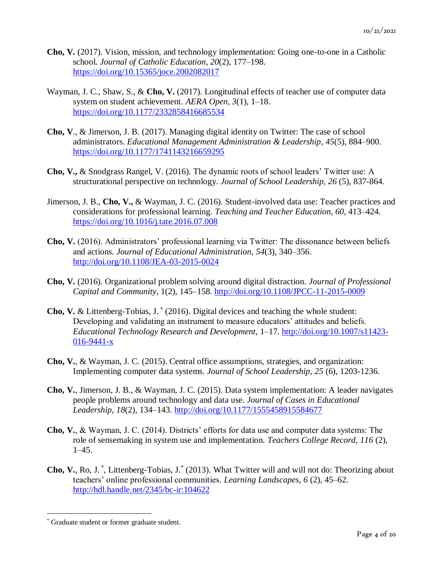- **Cho, V.** (2017). Vision, mission, and technology implementation: Going one-to-one in a Catholic school. *Journal of Catholic Education*, *20*(2), 177–198. <https://doi.org/10.15365/joce.2002082017>
- Wayman, J. C., Shaw, S., & **Cho, V.** (2017). Longitudinal effects of teacher use of computer data system on student achievement. *AERA Open*, *3*(1), 1–18. <https://doi.org/10.1177/2332858416685534>
- **Cho, V**., & Jimerson, J. B. (2017). Managing digital identity on Twitter: The case of school administrators. *Educational Management Administration & Leadership, 45*(5), 884–900. <https://doi.org/10.1177/1741143216659295>
- **Cho, V.,** & Snodgrass Rangel, V. (2016). The dynamic roots of school leaders' Twitter use: A structurational perspective on technology. *Journal of School Leadership, 26* (5), 837-864*.*
- Jimerson, J. B., **Cho, V.,** & Wayman, J. C. (2016). Student-involved data use: Teacher practices and considerations for professional learning. *Teaching and Teacher Education*, *60*, 413–424. <https://doi.org/10.1016/j.tate.2016.07.008>
- **Cho, V.** (2016). Administrators' professional learning via Twitter: The dissonance between beliefs and actions. *Journal of Educational Administration*, *54*(3), 340–356. <http://doi.org/10.1108/JEA-03-2015-0024>
- **Cho, V.** (2016). Organizational problem solving around digital distraction. *Journal of Professional Capital and Community*, 1(2), 145–158.<http://doi.org/10.1108/JPCC-11-2015-0009>
- **Cho, V.** & Littenberg-Tobias, J. \* (2016). Digital devices and teaching the whole student: Developing and validating an instrument to measure educators' attitudes and beliefs. *Educational Technology Research and Development*, 1–17. [http://doi.org/10.1007/s11423-](http://doi.org/10.1007/s11423-016-9441-x) [016-9441-x](http://doi.org/10.1007/s11423-016-9441-x)
- **Cho, V.**, & Wayman, J. C. (2015). Central office assumptions, strategies, and organization: Implementing computer data systems. *Journal of School Leadership, 25* (6), 1203-1236.
- **Cho, V.**, Jimerson, J. B., & Wayman, J. C. (2015). Data system implementation: A leader navigates people problems around technology and data use. *Journal of Cases in Educational Leadership*, *18*(2), 134–143.<http://doi.org/10.1177/1555458915584677>
- **Cho, V.**, & Wayman, J. C. (2014). Districts' efforts for data use and computer data systems: The role of sensemaking in system use and implementation. *Teachers College Record, 116* (2),  $1-45.$
- Cho, V., Ro, J.<sup>\*</sup>, Littenberg-Tobias, J.<sup>\*</sup> (2013). What Twitter will and will not do: Theorizing about teachers' online professional communities. *Learning Landscapes, 6* (2), 45–62. <http://hdl.handle.net/2345/bc-ir:104622>

<sup>\*</sup> Graduate student or former graduate student.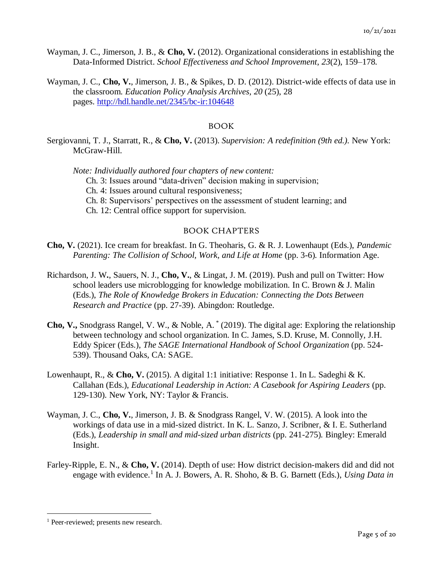- Wayman, J. C., Jimerson, J. B., & **Cho, V.** (2012). Organizational considerations in establishing the Data-Informed District. *School Effectiveness and School Improvement*, *23*(2), 159–178.
- Wayman, J. C., **Cho, V.**, Jimerson, J. B., & Spikes, D. D. (2012). District-wide effects of data use in the classroom. *Education Policy Analysis Archives, 20* (25), 28 pages. <http://hdl.handle.net/2345/bc-ir:104648>

#### BOOK

- Sergiovanni, T. J., Starratt, R., & **Cho, V.** (2013). *Supervision: A redefinition (9th ed.).* New York: McGraw-Hill.
	- *Note: Individually authored four chapters of new content:* Ch. 3: Issues around "data-driven" decision making in supervision; Ch. 4: Issues around cultural responsiveness; Ch. 8: Supervisors' perspectives on the assessment of student learning; and Ch. 12: Central office support for supervision*.*

#### BOOK CHAPTERS

- **Cho, V.** (2021). Ice cream for breakfast. In G. Theoharis, G. & R. J. Lowenhaupt (Eds.), *Pandemic Parenting: The Collision of School, Work, and Life at Home* (pp. 3-6)*.* Information Age.
- Richardson, J. W**.**, Sauers, N. J., **Cho, V.**, & Lingat, J. M. (2019). Push and pull on Twitter: How school leaders use microblogging for knowledge mobilization. In C. Brown & J. Malin (Eds.), *The Role of Knowledge Brokers in Education: Connecting the Dots Between Research and Practice* (pp. 27-39). Abingdon: Routledge.
- **Cho, V.,** Snodgrass Rangel, V. W., & Noble, A. \* (2019). The digital age: Exploring the relationship between technology and school organization. In C. James, S.D. Kruse, M. Connolly, J.H. Eddy Spicer (Eds.), *The SAGE International Handbook of School Organization* (pp. 524- 539). Thousand Oaks, CA: SAGE.
- Lowenhaupt, R., & **Cho, V.** (2015). A digital 1:1 initiative: Response 1. In L. Sadeghi & K. Callahan (Eds.), *Educational Leadership in Action: A Casebook for Aspiring Leaders* (pp. 129-130)*.* New York, NY: Taylor & Francis.
- Wayman, J. C., **Cho, V.**, Jimerson, J. B. & Snodgrass Rangel, V. W. (2015). A look into the workings of data use in a mid-sized district. In K. L. Sanzo, J. Scribner, & I. E. Sutherland (Eds.), *Leadership in small and mid-sized urban districts* (pp. 241-275)*.* Bingley: Emerald Insight.
- Farley-Ripple, E. N., & **Cho, V.** (2014). Depth of use: How district decision-makers did and did not engage with evidence. 1 In A. J. Bowers, A. R. Shoho, & B. G. Barnett (Eds.), *Using Data in*

<sup>&</sup>lt;sup>1</sup> Peer-reviewed; presents new research.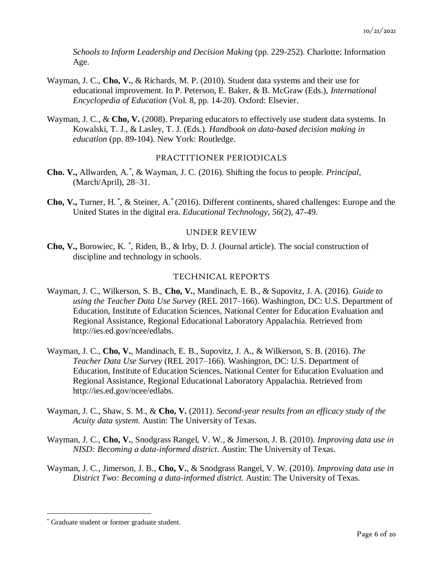*Schools to Inform Leadership and Decision Making* (pp. 229-252). Charlotte: Information Age.

- Wayman, J. C., **Cho, V.**, & Richards, M. P. (2010). Student data systems and their use for educational improvement. In P. Peterson, E. Baker, & B. McGraw (Eds.), *International Encyclopedia of Education* (Vol. 8, pp. 14-20). Oxford: Elsevier.
- Wayman, J. C., & **Cho, V.** (2008). Preparing educators to effectively use student data systems. In Kowalski, T. J., & Lasley, T. J. (Eds.). *Handbook on data-based decision making in education* (pp. 89-104). New York: Routledge.

#### PRACTITIONER PERIODICALS

- **Cho. V.,** Allwarden, A.\* , & Wayman, J. C. (2016). Shifting the focus to people. *Principal*, (March/April), 28–31.
- Cho, V., Turner, H.<sup>\*</sup>, & Steiner, A.<sup>\*</sup> (2016). Different continents, shared challenges: Europe and the United States in the digital era. *Educational Technology, 56*(2), 47-49.

#### UNDER REVIEW

**Cho, V.,** Borowiec, K. \* , Riden, B., & Irby, D. J. (Journal article). The social construction of discipline and technology in schools.

#### TECHNICAL REPORTS

- Wayman, J. C., Wilkerson, S. B., **Cho, V.**, Mandinach, E. B., & Supovitz, J. A. (2016). *Guide to using the Teacher Data Use Survey* (REL 2017–166). Washington, DC: U.S. Department of Education, Institute of Education Sciences, National Center for Education Evaluation and Regional Assistance, Regional Educational Laboratory Appalachia. Retrieved from http://ies.ed.gov/ncee/edlabs.
- Wayman, J. C., **Cho, V.**, Mandinach, E. B., Supovitz, J. A., & Wilkerson, S. B. (2016). *The Teacher Data Use Survey* (REL 2017–166)*.* Washington, DC: U.S. Department of Education, Institute of Education Sciences, National Center for Education Evaluation and Regional Assistance, Regional Educational Laboratory Appalachia. Retrieved from http://ies.ed.gov/ncee/edlabs.
- Wayman, J. C., Shaw, S. M., & **Cho, V.** (2011). *Second-year results from an efficacy study of the Acuity data system*. Austin: The University of Texas.
- Wayman, J. C., **Cho, V.**, Snodgrass Rangel, V. W., & Jimerson, J. B. (2010). *Improving data use in NISD: Becoming a data-informed district*. Austin: The University of Texas.
- Wayman, J. C., Jimerson, J. B., **Cho, V.**, & Snodgrass Rangel, V. W. (2010). *Improving data use in District Two: Becoming a data-informed district.* Austin: The University of Texas.

<sup>\*</sup> Graduate student or former graduate student.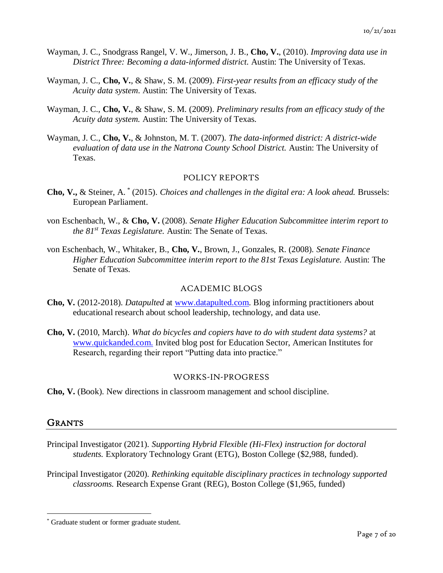- Wayman, J. C., Snodgrass Rangel, V. W., Jimerson, J. B., **Cho, V.**, (2010). *Improving data use in District Three: Becoming a data-informed district.* Austin: The University of Texas.
- Wayman, J. C., **Cho, V.**, & Shaw, S. M. (2009). *First-year results from an efficacy study of the Acuity data system*. Austin: The University of Texas.
- Wayman, J. C., **Cho, V.**, & Shaw, S. M. (2009). *Preliminary results from an efficacy study of the Acuity data system.* Austin: The University of Texas.
- Wayman, J. C., **Cho, V.**, & Johnston, M. T. (2007). *The data-informed district: A district-wide evaluation of data use in the Natrona County School District.* Austin: The University of Texas.

#### POLICY REPORTS

- **Cho, V.,** & Steiner, A. \* (2015). *Choices and challenges in the digital era: A look ahead.* Brussels: European Parliament.
- von Eschenbach, W., & **Cho, V.** (2008). *Senate Higher Education Subcommittee interim report to the 81st Texas Legislature.* Austin: The Senate of Texas.
- von Eschenbach, W., Whitaker, B., **Cho, V.**, Brown, J., Gonzales, R. (2008). *Senate Finance Higher Education Subcommittee interim report to the 81st Texas Legislature.* Austin: The Senate of Texas.

#### ACADEMIC BLOGS

- **Cho, V.** (2012-2018). *Datapulted* at [www.datapulted.com.](http://www.datapulted.com/) Blog informing practitioners about educational research about school leadership, technology, and data use.
- **Cho, V.** (2010, March). *What do bicycles and copiers have to do with student data systems?* at [www.quickanded.com.](http://www.quickanded.com/) Invited blog post for Education Sector, American Institutes for Research, regarding their report "Putting data into practice."

#### WORKS-IN-PROGRESS

**Cho, V.** (Book). New directions in classroom management and school discipline.

#### GRANTS

- Principal Investigator (2021). *Supporting Hybrid Flexible (Hi-Flex) instruction for doctoral students.* Exploratory Technology Grant (ETG), Boston College (\$2,988, funded).
- Principal Investigator (2020). *Rethinking equitable disciplinary practices in technology supported classrooms.* Research Expense Grant (REG), Boston College (\$1,965, funded)

<sup>\*</sup> Graduate student or former graduate student.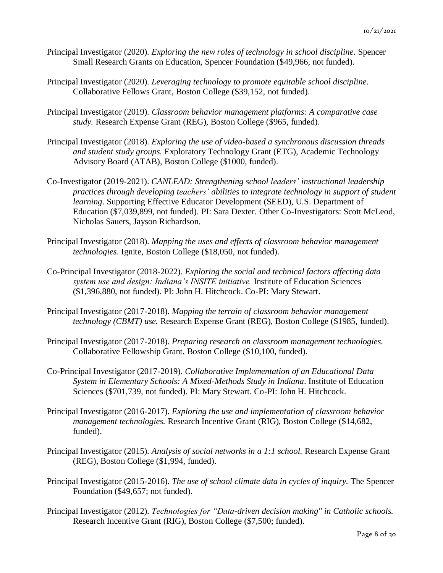- Principal Investigator (2020). *Exploring the new roles of technology in school discipline.* Spencer Small Research Grants on Education, Spencer Foundation (\$49,966, not funded).
- Principal Investigator (2020). *Leveraging technology to promote equitable school discipline.*  Collaborative Fellows Grant, Boston College (\$39,152, not funded).
- Principal Investigator (2019). *Classroom behavior management platforms: A comparative case study.* Research Expense Grant (REG), Boston College (\$965, funded).
- Principal Investigator (2018). *Exploring the use of video-based a synchronous discussion threads and student study groups.* Exploratory Technology Grant (ETG), Academic Technology Advisory Board (ATAB), Boston College (\$1000, funded).
- Co-Investigator (2019-2021). *CANLEAD: Strengthening school leaders' instructional leadership practices through developing teachers' abilities to integrate technology in support of student learning*. Supporting Effective Educator Development (SEED), U.S. Department of Education (\$7,039,899, not funded). PI: Sara Dexter. Other Co-Investigators: Scott McLeod, Nicholas Sauers, Jayson Richardson.
- Principal Investigator (2018). *Mapping the uses and effects of classroom behavior management technologies*. Ignite, Boston College (\$18,050, not funded).
- Co-Principal Investigator (2018-2022). *Exploring the social and technical factors affecting data system use and design: Indiana's INSITE initiative.* Institute of Education Sciences (\$1,396,880, not funded). PI: John H. Hitchcock. Co-PI: Mary Stewart.
- Principal Investigator (2017-2018). *Mapping the terrain of classroom behavior management technology (CBMT) use.* Research Expense Grant (REG), Boston College (\$1985, funded).
- Principal Investigator (2017-2018). *Preparing research on classroom management technologies.*  Collaborative Fellowship Grant, Boston College (\$10,100, funded).
- Co-Principal Investigator (2017-2019). *Collaborative Implementation of an Educational Data System in Elementary Schools: A Mixed-Methods Study in Indiana*. Institute of Education Sciences (\$701,739, not funded). PI: Mary Stewart. Co-PI: John H. Hitchcock.
- Principal Investigator (2016-2017). *Exploring the use and implementation of classroom behavior management technologies.* Research Incentive Grant (RIG), Boston College (\$14,682, funded).
- Principal Investigator (2015). *Analysis of social networks in a 1:1 school.* Research Expense Grant (REG), Boston College (\$1,994, funded).
- Principal Investigator (2015-2016). *The use of school climate data in cycles of inquiry.* The Spencer Foundation (\$49,657; not funded).
- Principal Investigator (2012). *Technologies for "Data-driven decision making" in Catholic schools.* Research Incentive Grant (RIG), Boston College (\$7,500; funded).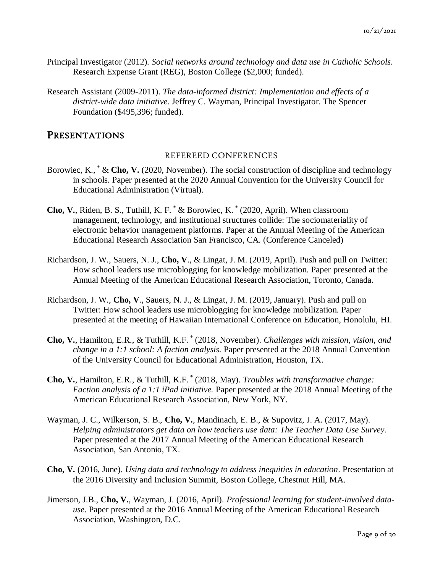- Principal Investigator (2012). *Social networks around technology and data use in Catholic Schools.* Research Expense Grant (REG), Boston College (\$2,000; funded).
- Research Assistant (2009-2011). *The data-informed district: Implementation and effects of a district-wide data initiative.* Jeffrey C. Wayman, Principal Investigator. The Spencer Foundation (\$495,396; funded).

## PRESENTATIONS

#### REFEREED CONFERENCES

- Borowiec, K., \* & **Cho, V.** (2020, November). The social construction of discipline and technology in schools. Paper presented at the 2020 Annual Convention for the University Council for Educational Administration (Virtual).
- **Cho, V.**, Riden, B. S., Tuthill, K. F. \* & Borowiec, K. \* (2020, April). When classroom management, technology, and institutional structures collide: The sociomateriality of electronic behavior management platforms. Paper at the Annual Meeting of the American Educational Research Association San Francisco, CA. (Conference Canceled)
- Richardson, J. W., Sauers, N. J., **Cho, V**., & Lingat, J. M. (2019, April). Push and pull on Twitter: How school leaders use microblogging for knowledge mobilization. Paper presented at the Annual Meeting of the American Educational Research Association, Toronto, Canada.
- Richardson, J. W., **Cho, V**., Sauers, N. J., & Lingat, J. M. (2019, January). Push and pull on Twitter: How school leaders use microblogging for knowledge mobilization. Paper presented at the meeting of Hawaiian International Conference on Education, Honolulu, HI.
- **Cho, V.**, Hamilton, E.R., & Tuthill, K.F. \* (2018, November). *Challenges with mission, vision, and change in a 1:1 school: A faction analysis.* Paper presented at the 2018 Annual Convention of the University Council for Educational Administration, Houston, TX.
- **Cho, V.**, Hamilton, E.R., & Tuthill, K.F. \* (2018, May). *Troubles with transformative change: Faction analysis of a 1:1 iPad initiative.* Paper presented at the 2018 Annual Meeting of the American Educational Research Association, New York, NY.
- Wayman, J. C., Wilkerson, S. B., **Cho, V.**, Mandinach, E. B., & Supovitz, J. A. (2017, May). *Helping administrators get data on how teachers use data: The Teacher Data Use Survey.* Paper presented at the 2017 Annual Meeting of the American Educational Research Association, San Antonio, TX.
- **Cho, V.** (2016, June). *Using data and technology to address inequities in education*. Presentation at the 2016 Diversity and Inclusion Summit, Boston College, Chestnut Hill, MA.
- Jimerson, J.B., **Cho, V.**, Wayman, J. (2016, April). *Professional learning for student-involved datause*. Paper presented at the 2016 Annual Meeting of the American Educational Research Association, Washington, D.C.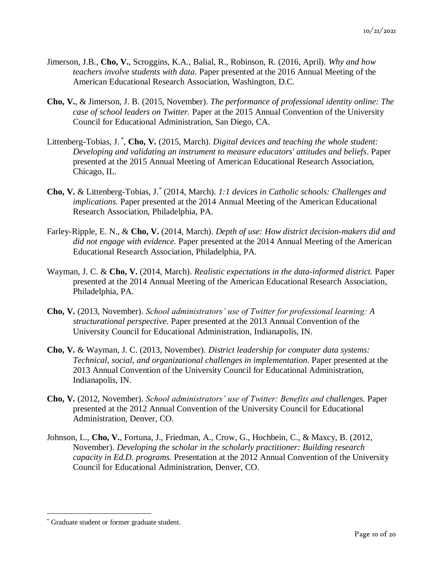- Jimerson, J.B., **Cho, V.**, Scroggins, K.A., Balial, R., Robinson, R. (2016, April). *Why and how teachers involve students with data*. Paper presented at the 2016 Annual Meeting of the American Educational Research Association, Washington, D.C.
- **Cho, V.**, & Jimerson, J. B. (2015, November). *The performance of professional identity online: The case of school leaders on Twitter.* Paper at the 2015 Annual Convention of the University Council for Educational Administration, San Diego, CA.
- Littenberg-Tobias, J.<sup>\*</sup>, Cho, V. (2015, March). *Digital devices and teaching the whole student: Developing and validating an instrument to measure educators' attitudes and beliefs*. Paper presented at the 2015 Annual Meeting of American Educational Research Association, Chicago, IL.
- **Cho, V.** & Littenberg-Tobias, J.\* (2014, March). *1:1 devices in Catholic schools: Challenges and implications.* Paper presented at the 2014 Annual Meeting of the American Educational Research Association, Philadelphia, PA.
- Farley-Ripple, E. N., & **Cho, V.** (2014, March). *Depth of use: How district decision-makers did and did not engage with evidence.* Paper presented at the 2014 Annual Meeting of the American Educational Research Association, Philadelphia, PA.
- Wayman, J. C. & **Cho, V.** (2014, March). *Realistic expectations in the data-informed district.* Paper presented at the 2014 Annual Meeting of the American Educational Research Association, Philadelphia, PA.
- **Cho, V.** (2013, November). *School administrators' use of Twitter for professional learning: A structurational perspective.* Paper presented at the 2013 Annual Convention of the University Council for Educational Administration, Indianapolis, IN.
- **Cho, V.** & Wayman, J. C. (2013, November). *District leadership for computer data systems: Technical, social, and organizational challenges in implementation.* Paper presented at the 2013 Annual Convention of the University Council for Educational Administration, Indianapolis, IN.
- **Cho, V.** (2012, November). *School administrators' use of Twitter: Benefits and challenges.* Paper presented at the 2012 Annual Convention of the University Council for Educational Administration, Denver, CO.
- Johnson, L., **Cho, V.**, Fortuna, J., Friedman, A., Crow, G., Hochbein, C., & Maxcy, B. (2012, November). *Developing the scholar in the scholarly practitioner: Building research capacity in Ed.D. programs.* Presentation at the 2012 Annual Convention of the University Council for Educational Administration, Denver, CO.

<sup>\*</sup> Graduate student or former graduate student.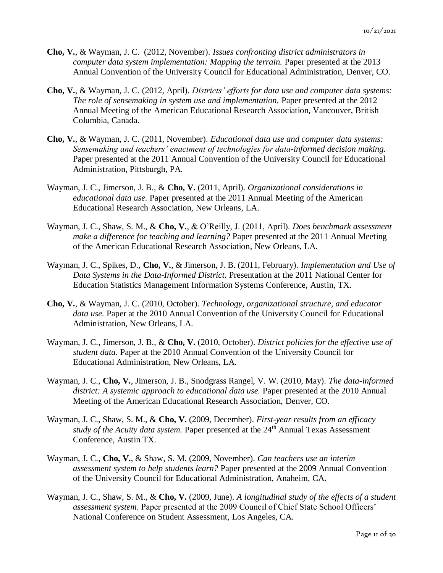- **Cho, V.**, & Wayman, J. C. (2012, November). *Issues confronting district administrators in computer data system implementation: Mapping the terrain.* Paper presented at the 2013 Annual Convention of the University Council for Educational Administration, Denver, CO.
- **Cho, V.**, & Wayman, J. C. (2012, April). *Districts' efforts for data use and computer data systems: The role of sensemaking in system use and implementation.* Paper presented at the 2012 Annual Meeting of the American Educational Research Association, Vancouver, British Columbia, Canada.
- **Cho, V.**, & Wayman, J. C. (2011, November). *Educational data use and computer data systems: Sensemaking and teachers' enactment of technologies for data-informed decision making.* Paper presented at the 2011 Annual Convention of the University Council for Educational Administration, Pittsburgh, PA.
- Wayman, J. C., Jimerson, J. B., & **Cho, V.** (2011, April). *Organizational considerations in educational data use.* Paper presented at the 2011 Annual Meeting of the American Educational Research Association, New Orleans, LA.
- Wayman, J. C., Shaw, S. M., & **Cho, V.**, & O'Reilly, J. (2011, April). *Does benchmark assessment make a difference for teaching and learning?* Paper presented at the 2011 Annual Meeting of the American Educational Research Association, New Orleans, LA.
- Wayman, J. C., Spikes, D., **Cho, V.**, & Jimerson, J. B. (2011, February). *Implementation and Use of Data Systems in the Data-Informed District.* Presentation at the 2011 National Center for Education Statistics Management Information Systems Conference, Austin, TX.
- **Cho, V.**, & Wayman, J. C. (2010, October). *Technology, organizational structure, and educator data use.* Paper at the 2010 Annual Convention of the University Council for Educational Administration, New Orleans, LA.
- Wayman, J. C., Jimerson, J. B., & **Cho, V.** (2010, October). *District policies for the effective use of student data*. Paper at the 2010 Annual Convention of the University Council for Educational Administration, New Orleans, LA.
- Wayman, J. C., **Cho, V.**, Jimerson, J. B., Snodgrass Rangel, V. W. (2010, May). *The data-informed district: A systemic approach to educational data use.* Paper presented at the 2010 Annual Meeting of the American Educational Research Association, Denver, CO.
- Wayman, J. C., Shaw, S. M., & **Cho, V.** (2009, December). *First-year results from an efficacy study of the Acuity data system.* Paper presented at the 24<sup>th</sup> Annual Texas Assessment Conference, Austin TX.
- Wayman, J. C., **Cho, V.**, & Shaw, S. M. (2009, November). *Can teachers use an interim assessment system to help students learn?* Paper presented at the 2009 Annual Convention of the University Council for Educational Administration, Anaheim, CA.
- Wayman, J. C., Shaw, S. M., & **Cho, V.** (2009, June). *A longitudinal study of the effects of a student assessment system*. Paper presented at the 2009 Council of Chief State School Officers' National Conference on Student Assessment, Los Angeles, CA.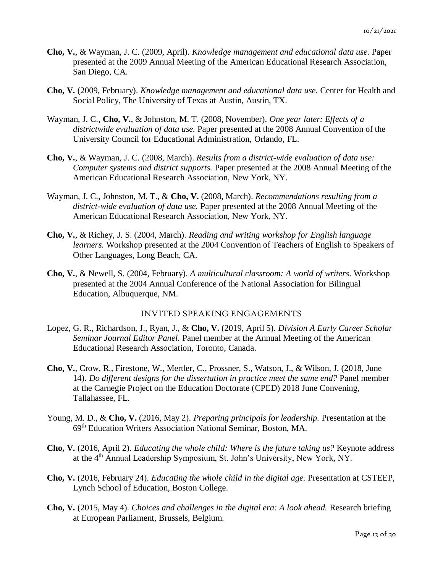- **Cho, V.**, & Wayman, J. C. (2009, April). *Knowledge management and educational data use.* Paper presented at the 2009 Annual Meeting of the American Educational Research Association, San Diego, CA.
- **Cho, V.** (2009, February). *Knowledge management and educational data use.* Center for Health and Social Policy, The University of Texas at Austin, Austin, TX.
- Wayman, J. C., **Cho, V.**, & Johnston, M. T. (2008, November). *One year later: Effects of a districtwide evaluation of data use.* Paper presented at the 2008 Annual Convention of the University Council for Educational Administration, Orlando, FL.
- **Cho, V.**, & Wayman, J. C. (2008, March). *Results from a district-wide evaluation of data use: Computer systems and district supports.* Paper presented at the 2008 Annual Meeting of the American Educational Research Association, New York, NY.
- Wayman, J. C., Johnston, M. T., & **Cho, V.** (2008, March). *Recommendations resulting from a district-wide evaluation of data use.* Paper presented at the 2008 Annual Meeting of the American Educational Research Association, New York, NY.
- **Cho, V.**, & Richey, J. S. (2004, March). *Reading and writing workshop for English language learners.* Workshop presented at the 2004 Convention of Teachers of English to Speakers of Other Languages, Long Beach, CA.
- **Cho, V.**, & Newell, S. (2004, February). *A multicultural classroom: A world of writers*. Workshop presented at the 2004 Annual Conference of the National Association for Bilingual Education, Albuquerque, NM.

#### INVITED SPEAKING ENGAGEMENTS

- Lopez, G. R., Richardson, J., Ryan, J., & **Cho, V.** (2019, April 5). *Division A Early Career Scholar Seminar Journal Editor Panel.* Panel member at the Annual Meeting of the American Educational Research Association, Toronto, Canada.
- **Cho, V.**, Crow, R., Firestone, W., Mertler, C., Prossner, S., Watson, J., & Wilson, J. (2018, June 14). *Do different designs for the dissertation in practice meet the same end?* Panel member at the Carnegie Project on the Education Doctorate (CPED) 2018 June Convening, Tallahassee, FL.
- Young, M. D., & **Cho, V.** (2016, May 2). *Preparing principals for leadership.* Presentation at the 69th Education Writers Association National Seminar, Boston, MA.
- **Cho, V.** (2016, April 2). *Educating the whole child: Where is the future taking us?* Keynote address at the 4th Annual Leadership Symposium, St. John's University, New York, NY.
- **Cho, V.** (2016, February 24). *Educating the whole child in the digital age.* Presentation at CSTEEP, Lynch School of Education, Boston College.
- **Cho, V.** (2015, May 4). *Choices and challenges in the digital era: A look ahead.* Research briefing at European Parliament, Brussels, Belgium.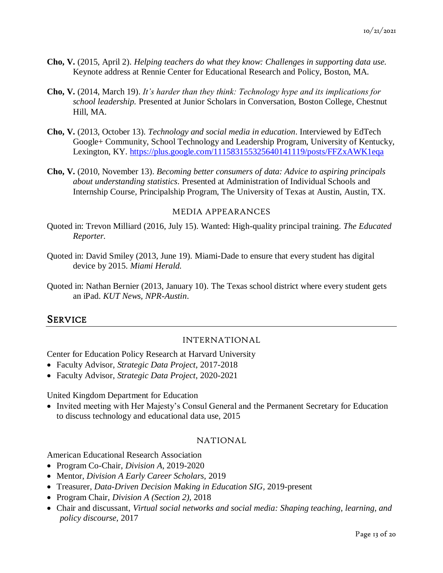- **Cho, V.** (2015, April 2). *Helping teachers do what they know: Challenges in supporting data use.* Keynote address at Rennie Center for Educational Research and Policy, Boston, MA.
- **Cho, V.** (2014, March 19). *It's harder than they think: Technology hype and its implications for school leadership.* Presented at Junior Scholars in Conversation, Boston College, Chestnut Hill, MA.
- **Cho, V.** (2013, October 13). *Technology and social media in education*. Interviewed by EdTech Google+ Community, School Technology and Leadership Program, University of Kentucky, Lexington, KY.<https://plus.google.com/111583155325640141119/posts/FFZxAWK1eqa>
- **Cho, V.** (2010, November 13). *Becoming better consumers of data: Advice to aspiring principals about understanding statistics*. Presented at Administration of Individual Schools and Internship Course, Principalship Program, The University of Texas at Austin, Austin, TX.

#### MEDIA APPEARANCES

- Quoted in: Trevon Milliard (2016, July 15). Wanted: High-quality principal training. *The Educated Reporter.*
- Quoted in: David Smiley (2013, June 19). Miami-Dade to ensure that every student has digital device by 2015. *Miami Herald.*
- Quoted in: Nathan Bernier (2013, January 10). The Texas school district where every student gets an iPad. *KUT News, NPR-Austin*.

# **SERVICE**

#### INTERNATIONAL

Center for Education Policy Research at Harvard University

- Faculty Advisor, *Strategic Data Project*, 2017-2018
- Faculty Advisor, *Strategic Data Project*, 2020-2021

United Kingdom Department for Education

 Invited meeting with Her Majesty's Consul General and the Permanent Secretary for Education to discuss technology and educational data use, 2015

#### NATIONAL

#### American Educational Research Association

- Program Co-Chair, *Division A*, 2019-2020
- Mentor, *Division A Early Career Scholars,* 2019
- Treasurer, *Data-Driven Decision Making in Education SIG,* 2019-present
- Program Chair, *Division A (Section 2),* 2018
- Chair and discussant, *Virtual social networks and social media: Shaping teaching, learning, and policy discourse,* 2017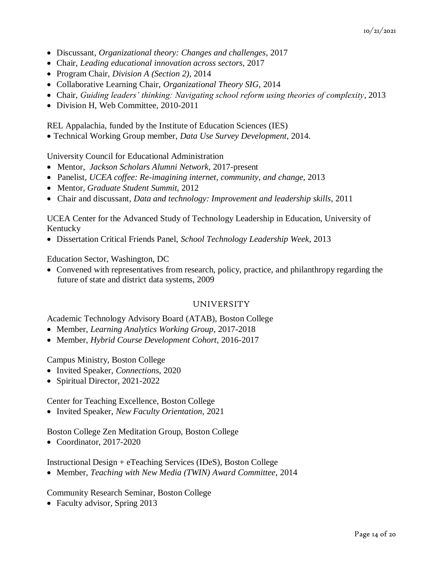- Discussant, *Organizational theory: Changes and challenges*, 2017
- Chair, *Leading educational innovation across sectors*, 2017
- Program Chair, *Division A (Section 2),* 2014
- Collaborative Learning Chair, *Organizational Theory SIG,* 2014
- Chair, *Guiding leaders' thinking: Navigating school reform using theories of complexity*, 2013
- Division H, Web Committee, 2010-2011

REL Appalachia, funded by the Institute of Education Sciences (IES)

Technical Working Group member, *Data Use Survey Development*, 2014.

University Council for Educational Administration

- Mentor, *Jackson Scholars Alumni Network*, 2017-present
- Panelist, *UCEA coffee: Re-imagining internet, community, and change*, 2013
- Mentor, *Graduate Student Summit*, 2012
- Chair and discussant, *Data and technology: Improvement and leadership skills*, 2011

UCEA Center for the Advanced Study of Technology Leadership in Education, University of Kentucky

Dissertation Critical Friends Panel, *School Technology Leadership Week*, 2013

Education Sector, Washington, DC

• Convened with representatives from research, policy, practice, and philanthropy regarding the future of state and district data systems, 2009

#### UNIVERSITY

Academic Technology Advisory Board (ATAB), Boston College

- Member, *Learning Analytics Working Group*, 2017-2018
- Member, *Hybrid Course Development Cohort*, 2016-2017

Campus Ministry, Boston College

- Invited Speaker, *Connections*, 2020
- Spiritual Director, 2021-2022

Center for Teaching Excellence, Boston College

Invited Speaker, *New Faculty Orientation*, 2021

Boston College Zen Meditation Group, Boston College

• Coordinator, 2017-2020

Instructional Design + eTeaching Services (IDeS), Boston College

Member, *Teaching with New Media (TWIN) Award Committee*, 2014

Community Research Seminar, Boston College

• Faculty advisor, Spring 2013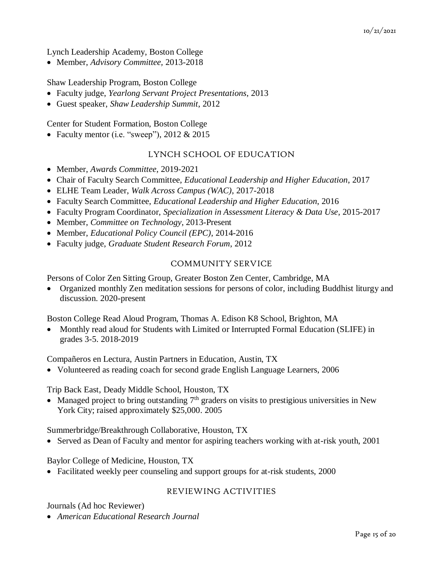Lynch Leadership Academy, Boston College

Member, *Advisory Committee,* 2013-2018

Shaw Leadership Program, Boston College

- Faculty judge, *Yearlong Servant Project Presentations*, 2013
- Guest speaker, *Shaw Leadership Summit*, 2012

Center for Student Formation, Boston College

• Faculty mentor (i.e. "sweep"),  $2012 \& 2015$ 

# LYNCH SCHOOL OF EDUCATION

- Member, *Awards Committee*, 2019-2021
- Chair of Faculty Search Committee, *Educational Leadership and Higher Education*, 2017
- ELHE Team Leader, *Walk Across Campus (WAC)*, 2017-2018
- Faculty Search Committee, *Educational Leadership and Higher Education*, 2016
- Faculty Program Coordinator, *Specialization in Assessment Literacy & Data Use*, 2015-2017
- Member, *Committee on Technology*, 2013-Present
- Member, *Educational Policy Council (EPC)*, 2014-2016
- Faculty judge, *Graduate Student Research Forum*, 2012

### COMMUNITY SERVICE

Persons of Color Zen Sitting Group, Greater Boston Zen Center, Cambridge, MA

 Organized monthly Zen meditation sessions for persons of color, including Buddhist liturgy and discussion. 2020-present

Boston College Read Aloud Program, Thomas A. Edison K8 School, Brighton, MA

 Monthly read aloud for Students with Limited or Interrupted Formal Education (SLIFE) in grades 3-5. 2018-2019

Compañeros en Lectura, Austin Partners in Education, Austin, TX

Volunteered as reading coach for second grade English Language Learners, 2006

Trip Back East, Deady Middle School, Houston, TX

• Managed project to bring outstanding  $7<sup>th</sup>$  graders on visits to prestigious universities in New York City; raised approximately \$25,000. 2005

Summerbridge/Breakthrough Collaborative, Houston, TX

Served as Dean of Faculty and mentor for aspiring teachers working with at-risk youth, 2001

Baylor College of Medicine, Houston, TX

Facilitated weekly peer counseling and support groups for at-risk students, 2000

#### REVIEWING ACTIVITIES

Journals (Ad hoc Reviewer)

*American Educational Research Journal*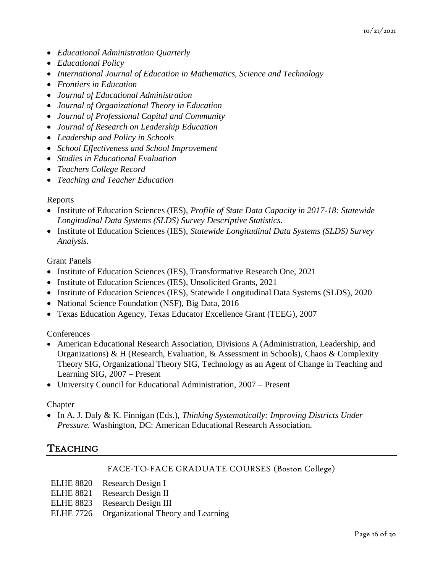- *Educational Administration Quarterly*
- *Educational Policy*
- *International Journal of Education in Mathematics, Science and Technology*
- *Frontiers in Education*
- *Journal of Educational Administration*
- *Journal of Organizational Theory in Education*
- *Journal of Professional Capital and Community*
- *Journal of Research on Leadership Education*
- *Leadership and Policy in Schools*
- *School Effectiveness and School Improvement*
- *Studies in Educational Evaluation*
- *Teachers College Record*
- *Teaching and Teacher Education*

#### Reports

- Institute of Education Sciences (IES), *Profile of State Data Capacity in 2017-18: Statewide Longitudinal Data Systems (SLDS) Survey Descriptive Statistics.*
- Institute of Education Sciences (IES), *Statewide Longitudinal Data Systems (SLDS) Survey Analysis.*

Grant Panels

- Institute of Education Sciences (IES), Transformative Research One, 2021
- Institute of Education Sciences (IES), Unsolicited Grants, 2021
- Institute of Education Sciences (IES), Statewide Longitudinal Data Systems (SLDS), 2020
- National Science Foundation (NSF), Big Data, 2016
- Texas Education Agency, Texas Educator Excellence Grant (TEEG), 2007

**Conferences** 

- American Educational Research Association, Divisions A (Administration, Leadership, and Organizations) & H (Research, Evaluation, & Assessment in Schools), Chaos & Complexity Theory SIG, Organizational Theory SIG, Technology as an Agent of Change in Teaching and Learning SIG, 2007 – Present
- University Council for Educational Administration, 2007 Present

Chapter

 In A. J. Daly & K. Finnigan (Eds.), *Thinking Systematically: Improving Districts Under Pressure.* Washington, DC: American Educational Research Association.

# TEACHING

#### FACE-TO-FACE GRADUATE COURSES (Boston College)

- ELHE 8820 Research Design I
- ELHE 8821 Research Design II
- ELHE 8823 Research Design III
- ELHE 7726 Organizational Theory and Learning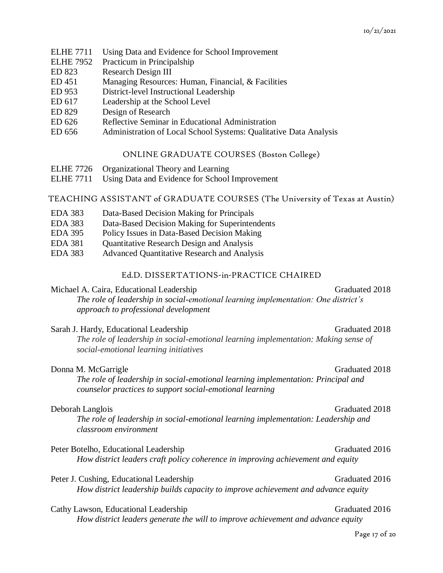- ELHE 7711 Using Data and Evidence for School Improvement
- ELHE 7952 Practicum in Principalship
- ED 823 Research Design III
- ED 451 Managing Resources: Human, Financial, & Facilities
- ED 953 District-level Instructional Leadership
- ED 617 Leadership at the School Level
- ED 829 Design of Research
- ED 626 Reflective Seminar in Educational Administration
- ED 656 Administration of Local School Systems: Qualitative Data Analysis

### ONLINE GRADUATE COURSES (Boston College)

- ELHE 7726 Organizational Theory and Learning
- ELHE 7711 Using Data and Evidence for School Improvement

# TEACHING ASSISTANT of GRADUATE COURSES (The University of Texas at Austin)

- EDA 383 Data-Based Decision Making for Principals
- EDA 383 Data-Based Decision Making for Superintendents
- EDA 395 Policy Issues in Data-Based Decision Making
- EDA 381 Quantitative Research Design and Analysis
- EDA 383 Advanced Quantitative Research and Analysis

### Ed.D. DISSERTATIONS-in-PRACTICE CHAIRED

| Michael A. Caira, Educational Leadership                                           | Graduated 2018 |
|------------------------------------------------------------------------------------|----------------|
| The role of leadership in social-emotional learning implementation: One district's |                |
| approach to professional development                                               |                |
|                                                                                    |                |

| Sarah J. Hardy, Educational Leadership                                                                                                        | Graduated 2018 |
|-----------------------------------------------------------------------------------------------------------------------------------------------|----------------|
| The role of leadership in social-emotional learning implementation: Making sense of<br>social-emotional learning initiatives                  |                |
| Donna M. McGarrigle                                                                                                                           | Graduated 2018 |
| The role of leadership in social-emotional learning implementation: Principal and<br>counselor practices to support social-emotional learning |                |

#### Deborah Langlois Graduated 2018

*The role of leadership in social-emotional learning implementation: Leadership and classroom environment*

Peter Botelho, Educational Leadership Graduated 2016 *How district leaders craft policy coherence in improving achievement and equity*

Peter J. Cushing, Educational Leadership Graduated 2016 *How district leadership builds capacity to improve achievement and advance equity*

Cathy Lawson, Educational Leadership Graduated 2016 *How district leaders generate the will to improve achievement and advance equity*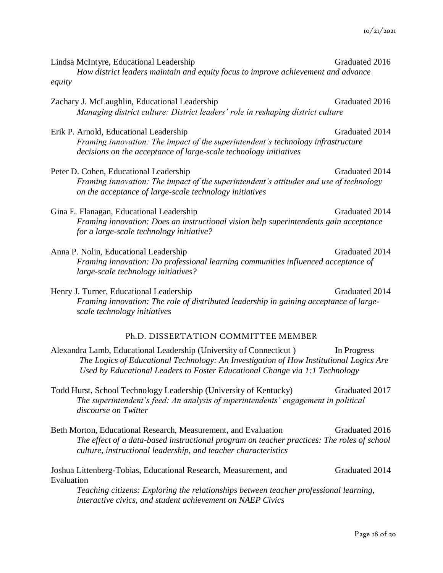| Lindsa McIntyre, Educational Leadership<br>How district leaders maintain and equity focus to improve achievement and advance<br>equity                                                          | Graduated 2016 |
|-------------------------------------------------------------------------------------------------------------------------------------------------------------------------------------------------|----------------|
| Zachary J. McLaughlin, Educational Leadership<br>Managing district culture: District leaders' role in reshaping district culture                                                                | Graduated 2016 |
| Erik P. Arnold, Educational Leadership<br>Framing innovation: The impact of the superintendent's technology infrastructure<br>decisions on the acceptance of large-scale technology initiatives | Graduated 2014 |
| Peter D. Cohen, Educational Leadership<br>Framing innovation: The impact of the superintendent's attitudes and use of technology<br>on the acceptance of large-scale technology initiatives     | Graduated 2014 |
| Gina E. Flanagan, Educational Leadership<br>Framing innovation: Does an instructional vision help superintendents gain acceptance<br>for a large-scale technology initiative?                   | Graduated 2014 |
| Anna P. Nolin, Educational Leadership<br>Framing innovation: Do professional learning communities influenced acceptance of<br>large-scale technology initiatives?                               | Graduated 2014 |
| Henry J. Turner, Educational Leadership<br>Framing innovation: The role of distributed leadership in gaining acceptance of large-<br>scale technology initiatives                               | Graduated 2014 |

# Ph.D. DISSERTATION COMMITTEE MEMBER

Alexandra Lamb, Educational Leadership (University of Connecticut ) In Progress *The Logics of Educational Technology: An Investigation of How Institutional Logics Are Used by Educational Leaders to Foster Educational Change via 1:1 Technology*

Todd Hurst, School Technology Leadership (University of Kentucky) Graduated 2017 *The superintendent's feed: An analysis of superintendents' engagement in political discourse on Twitter*

Beth Morton, Educational Research, Measurement, and Evaluation Graduated 2016 *The effect of a data-based instructional program on teacher practices: The roles of school culture, instructional leadership, and teacher characteristics*

Joshua Littenberg-Tobias, Educational Research, Measurement, and Evaluation Graduated 2014

*Teaching citizens: Exploring the relationships between teacher professional learning, interactive civics, and student achievement on NAEP Civics*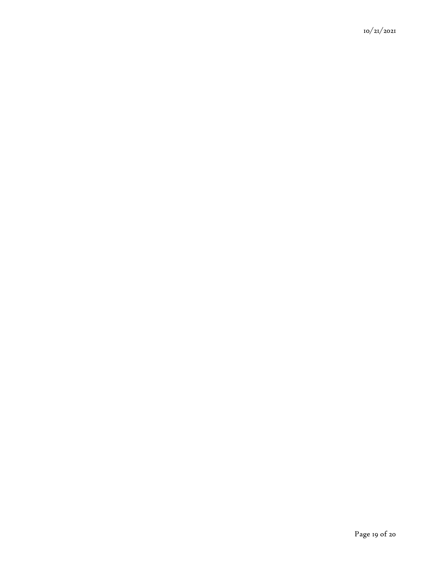$\rm 10/2I/202I$